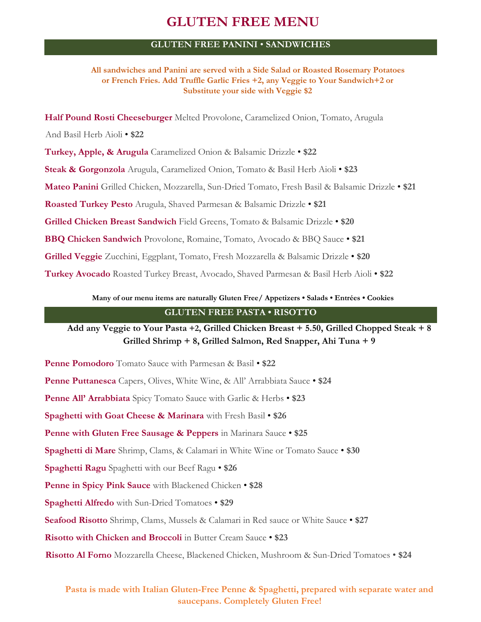# **GLUTEN FREE MENU**

## **GLUTEN FREE PANINI** • **SANDWICHES**

**All sandwiches and Panini are served with a Side Salad or Roasted Rosemary Potatoes or French Fries. Add Truffle Garlic Fries +2, any Veggie to Your Sandwich+2 or Substitute your side with Veggie \$2**

**Half Pound Rosti Cheeseburger** Melted Provolone, Caramelized Onion, Tomato, Arugula And Basil Herb Aioli • **\$22 Turkey, Apple, & Arugula** Caramelized Onion & Balsamic Drizzle • **\$22 Steak & Gorgonzola** Arugula, Caramelized Onion, Tomato & Basil Herb Aioli • **\$23 Mateo Panini** Grilled Chicken, Mozzarella, Sun-Dried Tomato, Fresh Basil & Balsamic Drizzle • **\$21 Roasted Turkey Pesto** Arugula, Shaved Parmesan & Balsamic Drizzle • **\$21 Grilled Chicken Breast Sandwich** Field Greens, Tomato & Balsamic Drizzle • **\$20 BBQ Chicken Sandwich** Provolone, Romaine, Tomato, Avocado & BBQ Sauce • **\$21 Grilled Veggie** Zucchini, Eggplant, Tomato, Fresh Mozzarella & Balsamic Drizzle • **\$20 Turkey Avocado** Roasted Turkey Breast, Avocado, Shaved Parmesan & Basil Herb Aioli • **\$22**

**Many of our menu items are naturally Gluten Free/ Appetizers • Salads • Entrées • Cookies**

## **GLUTEN FREE PASTA • RISOTTO**

**Add any Veggie to Your Pasta +2, Grilled Chicken Breast + 5.50, Grilled Chopped Steak + 8 Grilled Shrimp + 8, Grilled Salmon, Red Snapper, Ahi Tuna + 9**

**Penne Pomodoro** Tomato Sauce with Parmesan & Basil • **\$22 Penne Puttanesca** Capers, Olives, White Wine, & All' Arrabbiata Sauce • **\$24 Penne All' Arrabbiata** Spicy Tomato Sauce with Garlic & Herbs • **\$23 Spaghetti with Goat Cheese & Marinara** with Fresh Basil • **\$26 Penne with Gluten Free Sausage & Peppers** in Marinara Sauce • **\$25 Spaghetti di Mare** Shrimp, Clams, & Calamari in White Wine or Tomato Sauce • **\$30 Spaghetti Ragu** Spaghetti with our Beef Ragu • **\$26 Penne in Spicy Pink Sauce** with Blackened Chicken • **\$28 Spaghetti Alfredo** with Sun-Dried Tomatoes • **\$29 Seafood Risotto** Shrimp, Clams, Mussels & Calamari in Red sauce or White Sauce • **\$27 Risotto with Chicken and Broccoli** in Butter Cream Sauce • **\$23 Risotto Al Forno** Mozzarella Cheese, Blackened Chicken, Mushroom & Sun-Dried Tomatoes • **\$24**

# **Pasta is made with Italian Gluten-Free Penne & Spaghetti, prepared with separate water and saucepans. Completely Gluten Free!**